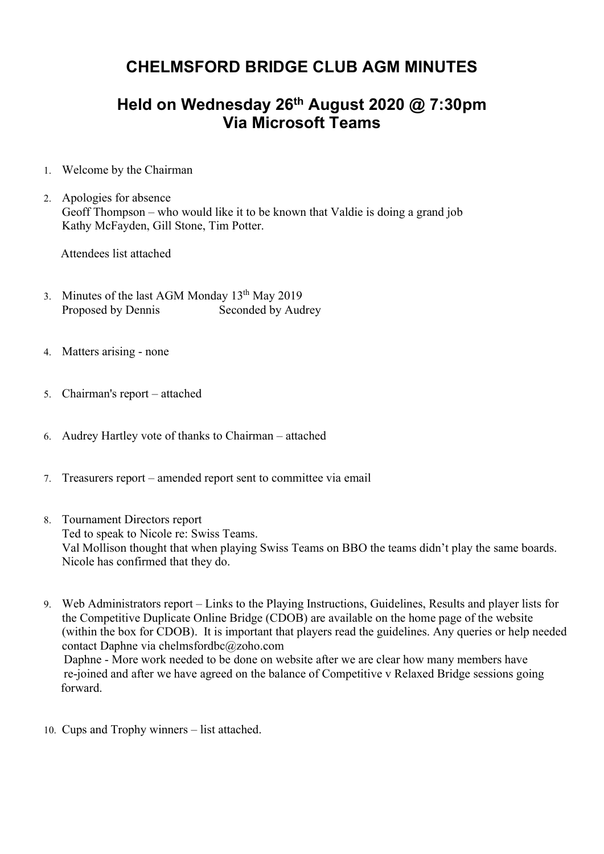## CHELMSFORD BRIDGE CLUB AGM MINUTES

## Held on Wednesday 26<sup>th</sup> August 2020 @ 7:30pm Via Microsoft Teams

- 1. Welcome by the Chairman
- 2. Apologies for absence Geoff Thompson – who would like it to be known that Valdie is doing a grand job Kathy McFayden, Gill Stone, Tim Potter.

Attendees list attached

- 3. Minutes of the last AGM Monday  $13^{th}$  May 2019 Proposed by Dennis Seconded by Audrey
- 4. Matters arising none
- 5. Chairman's report attached
- 6. Audrey Hartley vote of thanks to Chairman attached
- 7. Treasurers report amended report sent to committee via email
- 8. Tournament Directors report Ted to speak to Nicole re: Swiss Teams. Val Mollison thought that when playing Swiss Teams on BBO the teams didn't play the same boards. Nicole has confirmed that they do.
- 9. Web Administrators report Links to the Playing Instructions, Guidelines, Results and player lists for the Competitive Duplicate Online Bridge (CDOB) are available on the home page of the website (within the box for CDOB). It is important that players read the guidelines. Any queries or help needed contact Daphne via chelmsfordbc@zoho.com Daphne - More work needed to be done on website after we are clear how many members have re-joined and after we have agreed on the balance of Competitive v Relaxed Bridge sessions going forward.
- 10. Cups and Trophy winners list attached.